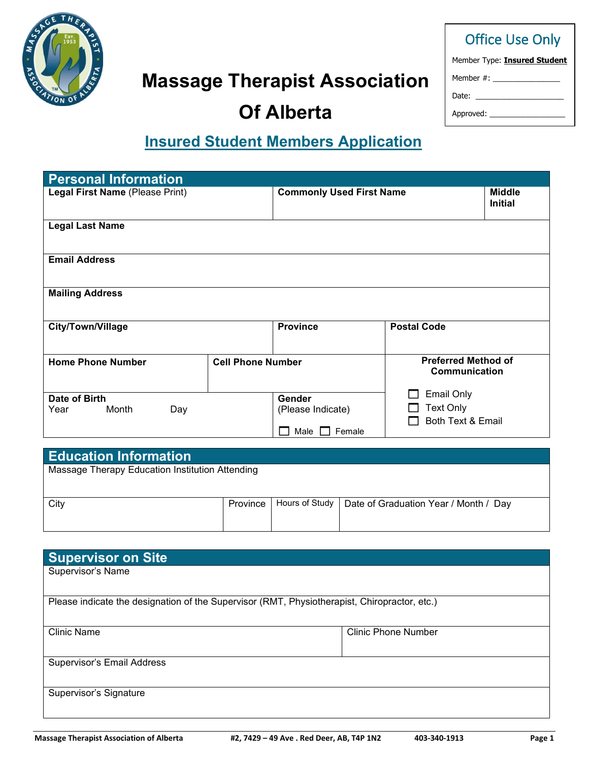

### Office Use Only

| Member Type: Insured Student |
|------------------------------|
| Member #:                    |
| Date:                        |

Approved:

# **Of Alberta**

**Massage Therapist Association** 

## **Insured Student Members Application**

| <b>Personal Information</b>                     |                          |                                 |                                             |                                 |
|-------------------------------------------------|--------------------------|---------------------------------|---------------------------------------------|---------------------------------|
| Legal First Name (Please Print)                 |                          | <b>Commonly Used First Name</b> |                                             | <b>Middle</b><br><b>Initial</b> |
| <b>Legal Last Name</b>                          |                          |                                 |                                             |                                 |
| <b>Email Address</b>                            |                          |                                 |                                             |                                 |
| <b>Mailing Address</b>                          |                          |                                 |                                             |                                 |
| City/Town/Village                               |                          | <b>Province</b>                 | <b>Postal Code</b>                          |                                 |
| <b>Home Phone Number</b>                        | <b>Cell Phone Number</b> |                                 | <b>Preferred Method of</b><br>Communication |                                 |
| Date of Birth                                   |                          | Gender                          | <b>Email Only</b>                           |                                 |
| Month<br>Year<br>Day                            |                          | (Please Indicate)               | <b>Text Only</b>                            |                                 |
|                                                 |                          | Female<br>Male                  | Both Text & Email                           |                                 |
|                                                 |                          |                                 |                                             |                                 |
| <b>Education Information</b>                    |                          |                                 |                                             |                                 |
| Massage Therapy Education Institution Attending |                          |                                 |                                             |                                 |

| <b>City</b> |  | Province   Hours of Study   Date of Graduation Year / Month / Day |
|-------------|--|-------------------------------------------------------------------|
|             |  |                                                                   |
|             |  |                                                                   |

| <b>Supervisor on Site</b>                                                                    |                            |
|----------------------------------------------------------------------------------------------|----------------------------|
| Supervisor's Name                                                                            |                            |
|                                                                                              |                            |
| Please indicate the designation of the Supervisor (RMT, Physiotherapist, Chiropractor, etc.) |                            |
| <b>Clinic Name</b>                                                                           | <b>Clinic Phone Number</b> |
| Supervisor's Email Address                                                                   |                            |
| Supervisor's Signature                                                                       |                            |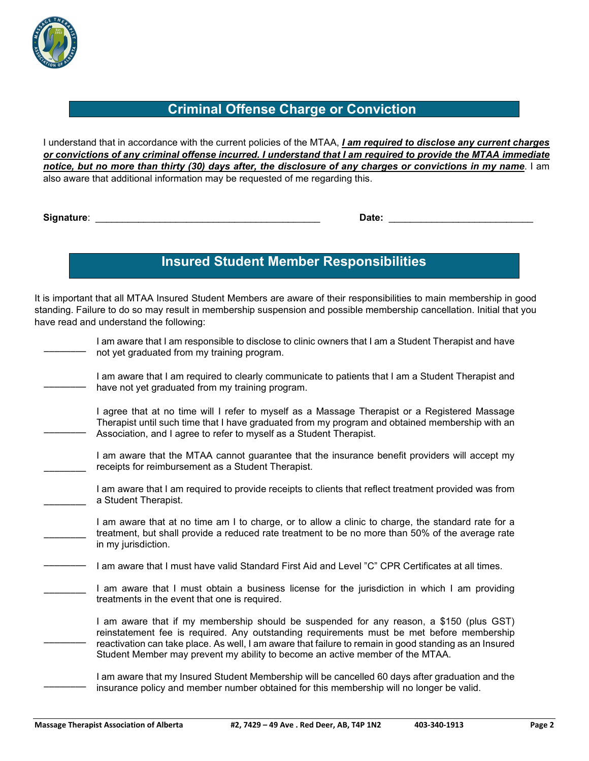

#### **Criminal Offense Charge or Conviction**

I understand that in accordance with the current policies of the MTAA, *I am required to disclose any current charges or convictions of any criminal offense incurred. I understand that I am required to provide the MTAA immediate notice, but no more than thirty (30) days after, the disclosure of any charges or convictions in my name*. I am also aware that additional information may be requested of me regarding this.

**Signature**: \_\_\_\_\_\_\_\_\_\_\_\_\_\_\_\_\_\_\_\_\_\_\_\_\_\_\_\_\_\_\_\_\_\_\_\_\_\_\_\_\_\_ **Date:** \_\_\_\_\_\_\_\_\_\_\_\_\_\_\_\_\_\_\_\_\_\_\_\_\_\_\_

\_\_\_\_\_\_\_\_

### **Insured Student Member Responsibilities**

It is important that all MTAA Insured Student Members are aware of their responsibilities to main membership in good standing. Failure to do so may result in membership suspension and possible membership cancellation. Initial that you have read and understand the following:

| I am aware that I am responsible to disclose to clinic owners that I am a Student Therapist and have |
|------------------------------------------------------------------------------------------------------|
| not yet graduated from my training program.                                                          |

I am aware that I am required to clearly communicate to patients that I am a Student Therapist and have not yet graduated from my training program.

I agree that at no time will I refer to myself as a Massage Therapist or a Registered Massage Therapist until such time that I have graduated from my program and obtained membership with an Association, and I agree to refer to myself as a Student Therapist.

\_\_\_\_\_\_\_\_ I am aware that the MTAA cannot guarantee that the insurance benefit providers will accept my receipts for reimbursement as a Student Therapist.

\_\_\_\_\_\_\_\_ I am aware that I am required to provide receipts to clients that reflect treatment provided was from a Student Therapist.

\_\_\_\_\_\_\_\_ I am aware that at no time am I to charge, or to allow a clinic to charge, the standard rate for a treatment, but shall provide a reduced rate treatment to be no more than 50% of the average rate in my jurisdiction.

\_\_\_\_\_\_\_\_ I am aware that I must have valid Standard First Aid and Level "C" CPR Certificates at all times.

I am aware that I must obtain a business license for the jurisdiction in which I am providing treatments in the event that one is required.

 $\overline{\phantom{a}}$ I am aware that if my membership should be suspended for any reason, a \$150 (plus GST) reinstatement fee is required. Any outstanding requirements must be met before membership reactivation can take place. As well, I am aware that failure to remain in good standing as an Insured Student Member may prevent my ability to become an active member of the MTAA.

I am aware that my Insured Student Membership will be cancelled 60 days after graduation and the insurance policy and member number obtained for this membership will no longer be valid.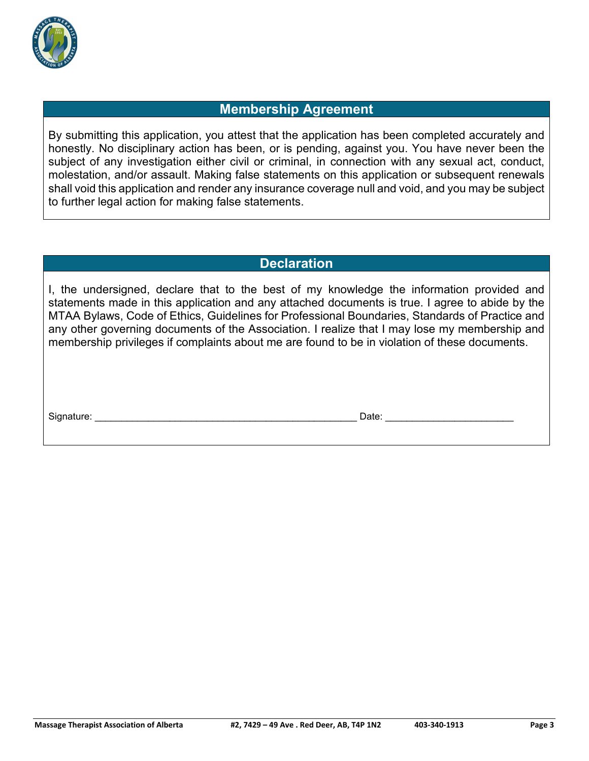

#### **Membership Agreement**

By submitting this application, you attest that the application has been completed accurately and honestly. No disciplinary action has been, or is pending, against you. You have never been the subject of any investigation either civil or criminal, in connection with any sexual act, conduct, molestation, and/or assault. Making false statements on this application or subsequent renewals shall void this application and render any insurance coverage null and void, and you may be subject to further legal action for making false statements.

#### **Declaration**

I, the undersigned, declare that to the best of my knowledge the information provided and statements made in this application and any attached documents is true. I agree to abide by the MTAA Bylaws, Code of Ethics, Guidelines for Professional Boundaries, Standards of Practice and any other governing documents of the Association. I realize that I may lose my membership and membership privileges if complaints about me are found to be in violation of these documents.

Signature: <br>
Signature: 
2010 - 
2010 - 
2010 - 
2010 - 
2010 - 
2010 - 
2010 - 
2010 - 
2010 - 
2010 - 
2010 - 
2010 - 
2010 - 
2010 - 
2010 - 
2010 - 
2010 - 
2010 - 
2010 - 
2010 - 
2010 - 
2010 - 
2010 - 
2010 - 
2010